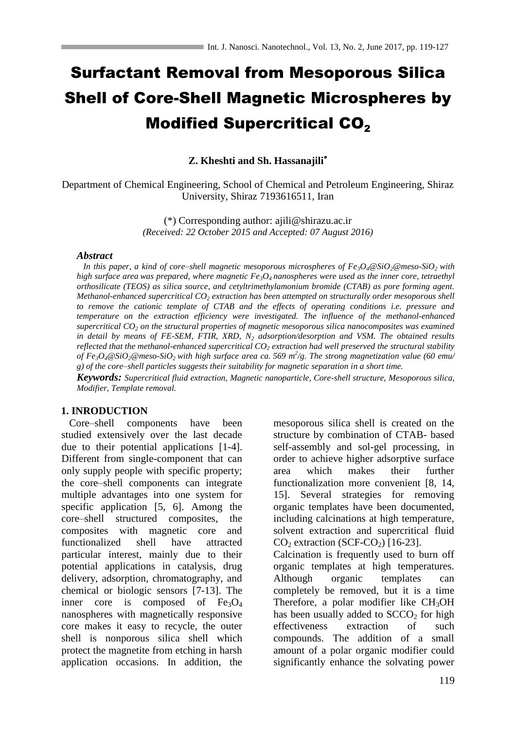# Surfactant Removal from Mesoporous Silica Shell of Core-Shell Magnetic Microspheres by **Modified Supercritical CO<sub>2</sub>**

**Z. Kheshti and Sh. Hassanajili**

Department of Chemical Engineering, School of Chemical and Petroleum Engineering, Shiraz University, Shiraz 7193616511, Iran

> (\*) Corresponding author: [ajili@shirazu.ac.ir](mailto:ajili@shirazu.ac.ir) *(Received: 22 October 2015 and Accepted: 07 August 2016)*

#### *Abstract*

 *In this paper, a kind of core–shell magnetic mesoporous microspheres of Fe3O4@SiO2@meso-SiO2 with high surface area was prepared, where magnetic*  $Fe_3O_4$  *nanospheres were used as the inner core, tetraethyl orthosilicate (TEOS) as silica source, and cetyltrimethylamonium bromide (CTAB) as pore forming agent. Methanol-enhanced supercritical CO<sup>2</sup> extraction has been attempted on structurally order mesoporous shell to remove the cationic template of CTAB and the effects of operating conditions i.e. pressure and temperature on the extraction efficiency were investigated. The influence of the methanol-enhanced supercritical CO<sup>2</sup> on the structural properties of magnetic mesoporous silica nanocomposites was examined in detail by means of FE-SEM, FTIR, XRD, N<sup>2</sup> adsorption/desorption and VSM. The obtained results reflected that the methanol-enhanced supercritical CO<sup>2</sup> extraction had well preserved the structural stability of Fe3O4@SiO2@meso-SiO2 with high surface area ca. 569 m<sup>2</sup> /g. The strong magnetization value (60 emu/ g) of the core–shell particles suggests their suitability for magnetic separation in a short time.* 

*Keywords: Supercritical fluid extraction, Magnetic nanoparticle, Core-shell structure, Mesoporous silica, Modifier, Template removal.*

#### **1. INRODUCTION**

 Core–shell components have been studied extensively over the last decade due to their potential applications [1-4]. Different from single-component that can only supply people with specific property; the core–shell components can integrate multiple advantages into one system for specific application [5, 6]. Among the core–shell structured composites, the composites with magnetic core and functionalized shell have attracted particular interest, mainly due to their potential applications in catalysis, drug delivery, adsorption, chromatography, and chemical or biologic sensors [7-13]. The inner core is composed of  $Fe<sub>3</sub>O<sub>4</sub>$ nanospheres with magnetically responsive core makes it easy to recycle, the outer shell is nonporous silica shell which protect the magnetite from etching in harsh application occasions. In addition, the mesoporous silica shell is created on the structure by combination of CTAB- based self-assembly and sol-gel processing, in order to achieve higher adsorptive surface area which makes their further functionalization more convenient [8, 14, 15]. Several strategies for removing organic templates have been documented, including calcinations at high temperature, solvent extraction and supercritical fluid  $CO<sub>2</sub>$  extraction (SCF-CO<sub>2</sub>) [16-23].

Calcination is frequently used to burn off organic templates at high temperatures. Although organic templates can completely be removed, but it is a time Therefore, a polar modifier like CH<sub>3</sub>OH has been usually added to  $SCCO<sub>2</sub>$  for high effectiveness extraction of such compounds. The addition of a small amount of a polar organic modifier could significantly enhance the solvating power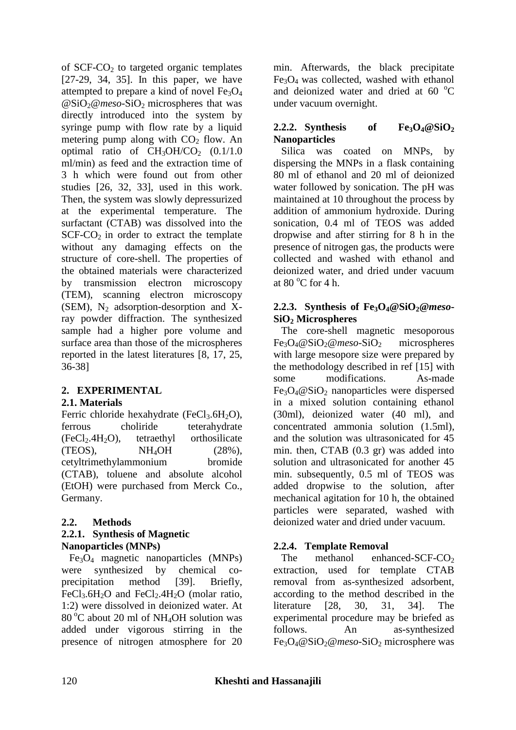of  $SCF-CO<sub>2</sub>$  to targeted organic templates [27-29, 34, 35]. In this paper, we have attempted to prepare a kind of novel  $Fe<sub>3</sub>O<sub>4</sub>$ @SiO<sub>2</sub>@meso-SiO<sub>2</sub> microspheres that was directly introduced into the system by syringe pump with flow rate by a liquid metering pump along with  $CO<sub>2</sub>$  flow. An optimal ratio of  $CH<sub>3</sub>OH/CO<sub>2</sub>$  (0.1/1.0) ml/min) as feed and the extraction time of 3 h which were found out from other studies [26, 32, 33], used in this work. Then, the system was slowly depressurized at the experimental temperature. The surfactant (CTAB) was dissolved into the  $SCF-CO<sub>2</sub>$  in order to extract the template without any damaging effects on the structure of core-shell. The properties of the obtained materials were characterized by transmission electron microscopy (TEM), scanning electron microscopy (SEM),  $N_2$  adsorption-desorption and Xray powder diffraction. The synthesized sample had a higher pore volume and surface area than those of the microspheres reported in the latest literatures [8, 17, 25, 36-38]

# **2. EXPERIMENTAL**

# **2.1. Materials**

Ferric chloride hexahydrate (FeCl<sub>3</sub>.6H<sub>2</sub>O), ferrous choliride teterahydrate  $(FeCl<sub>2</sub>.4H<sub>2</sub>O)$ , tetraethyl orthosilicate  $(TEOS)$ ,  $NH_4OH$  (28%), cetyltrimethylammonium bromide (CTAB), toluene and absolute alcohol (EtOH) were purchased from Merck Co., Germany.

#### **2.2. Methods 2.2.1. Synthesis of Magnetic Nanoparticles (MNPs)**

 Fe3O<sup>4</sup> magnetic nanoparticles (MNPs) were synthesized by chemical coprecipitation method [39]. Briefly, FeCl<sub>3</sub>.6H<sub>2</sub>O and FeCl<sub>2</sub>.4H<sub>2</sub>O (molar ratio, 1:2) were dissolved in deionized water. At  $80^{\circ}$ C about 20 ml of NH<sub>4</sub>OH solution was added under vigorous stirring in the presence of nitrogen atmosphere for 20

min. Afterwards, the black precipitate  $Fe<sub>3</sub>O<sub>4</sub>$  was collected, washed with ethanol and deionized water and dried at  $60^{\circ}$ C under vacuum overnight.

# **2.2.2. Synthesis** of Fe<sub>3</sub> $O_4@SiO_2$ **Nanoparticles**

 Silica was coated on MNPs, by dispersing the MNPs in a flask containing 80 ml of ethanol and 20 ml of deionized water followed by sonication. The pH was maintained at 10 throughout the process by addition of ammonium hydroxide. During sonication, 0.4 ml of TEOS was added dropwise and after stirring for 8 h in the presence of nitrogen gas, the products were collected and washed with ethanol and deionized water, and dried under vacuum at  $80^{\circ}$ C for 4 h.

# **2.2.3. Synthesis of Fe3O4@SiO2@***meso***-SiO<sup>2</sup> Microspheres**

 The core-shell magnetic mesoporous Fe<sub>3</sub>O<sub>4</sub>@SiO<sub>2</sub>@meso-SiO<sub>2</sub> microspheres with large mesopore size were prepared by the methodology described in ref [15] with some modifications. As-made  $Fe<sub>3</sub>O<sub>4</sub> @ SiO<sub>2</sub> nanoparticles were dispersed$ in a mixed solution containing ethanol (30ml), deionized water (40 ml), and concentrated ammonia solution (1.5ml), and the solution was ultrasonicated for 45 min. then, CTAB (0.3 gr) was added into solution and ultrasonicated for another 45 min. subsequently, 0.5 ml of TEOS was added dropwise to the solution, after mechanical agitation for 10 h, the obtained particles were separated, washed with deionized water and dried under vacuum.

# **2.2.4. Template Removal**

The methanol enhanced-SCF- $CO<sub>2</sub>$ extraction, used for template CTAB removal from as-synthesized adsorbent, according to the method described in the literature [28, 30, 31, 34]. The experimental procedure may be briefed as follows. An as-synthesized Fe<sub>3</sub>O<sub>4</sub>@SiO<sub>2</sub>@meso-SiO<sub>2</sub> microsphere was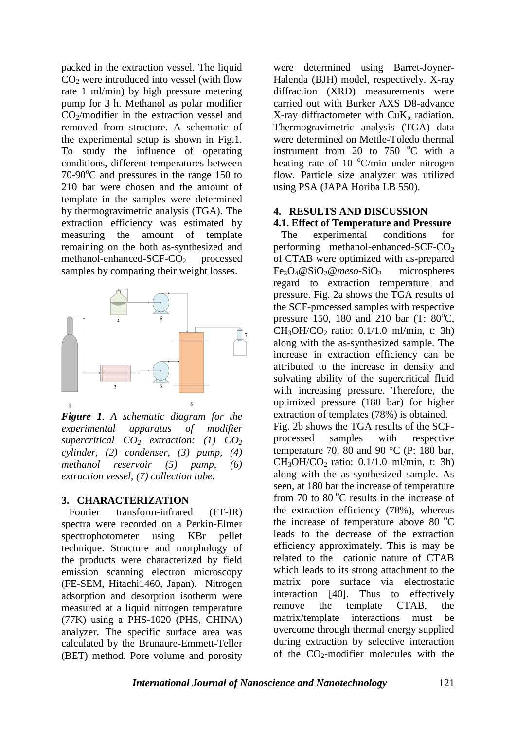packed in the extraction vessel. The liquid  $CO<sub>2</sub>$  were introduced into vessel (with flow rate 1 ml/min) by high pressure metering pump for 3 h. Methanol as polar modifier CO2/modifier in the extraction vessel and removed from structure. A schematic of the experimental setup is shown in Fig.1. To study the influence of operating conditions, different temperatures between  $70-90^{\circ}$ C and pressures in the range 150 to 210 bar were chosen and the amount of template in the samples were determined by thermogravimetric analysis (TGA). The extraction efficiency was estimated by measuring the amount of template remaining on the both as-synthesized and methanol-enhanced-SCF-CO<sub>2</sub> processed samples by comparing their weight losses.



*Figure 1. A schematic diagram for the experimental apparatus of modifier supercritical CO<sup>2</sup> extraction: (1) CO<sup>2</sup> cylinder, (2) condenser, (3) pump, (4) methanol reservoir (5) pump, (6) extraction vessel, (7) collection tube.*

## **3. CHARACTERIZATION**

 Fourier transform-infrared (FT-IR) spectra were recorded on a Perkin-Elmer spectrophotometer using KBr pellet technique. Structure and morphology of the products were characterized by field emission scanning electron microscopy (FE-SEM, Hitachi1460, Japan). Nitrogen adsorption and desorption isotherm were measured at a liquid nitrogen temperature (77K) using a PHS-1020 (PHS, CHINA) analyzer. The specific surface area was calculated by the Brunaure-Emmett-Teller (BET) method. Pore volume and porosity

were determined using Barret-Joyner-Halenda (BJH) model, respectively. X-ray diffraction (XRD) measurements were carried out with Burker AXS D8-advance X-ray diffractometer with  $CuK_{\alpha}$  radiation. Thermogravimetric analysis (TGA) data were determined on Mettle-Toledo thermal instrument from 20 to 750  $^{\circ}$ C with a heating rate of 10  $\mathrm{C/min}$  under nitrogen flow. Particle size analyzer was utilized using PSA (JAPA Horiba LB 550).

#### **4. RESULTS AND DISCUSSION 4.1. Effect of Temperature and Pressure**

 The experimental conditions for performing methanol-enhanced-SCF-CO<sub>2</sub> of CTAB were optimized with as-prepared Fe3O4@SiO2@*meso*-SiO<sup>2</sup> microspheres regard to extraction temperature and pressure. Fig. 2a shows the TGA results of the SCF-processed samples with respective pressure 150, 180 and 210 bar (T:  $80^{\circ}$ C,  $CH<sub>3</sub>OH/CO<sub>2</sub>$  ratio: 0.1/1.0 ml/min, t: 3h) along with the as-synthesized sample. The increase in extraction efficiency can be attributed to the increase in density and solvating ability of the supercritical fluid with increasing pressure. Therefore, the optimized pressure (180 bar) for higher extraction of templates (78%) is obtained. Fig. 2b shows the TGA results of the SCFprocessed samples with respective temperature 70, 80 and 90  $^{\circ}$ C (P: 180 bar,  $CH<sub>3</sub>OH/CO<sub>2</sub>$  ratio: 0.1/1.0 ml/min, t: 3h) along with the as-synthesized sample. As seen, at 180 bar the increase of temperature from 70 to 80 $^{\circ}$ C results in the increase of the extraction efficiency (78%), whereas the increase of temperature above 80  $^{\circ}$ C leads to the decrease of the extraction efficiency approximately. This is may be related to the cationic nature of CTAB which leads to its strong attachment to the matrix pore surface via electrostatic

interaction [40]. Thus to effectively remove the template CTAB, the matrix/template interactions must be overcome through thermal energy supplied during extraction by selective interaction of the  $CO<sub>2</sub>$ -modifier molecules with the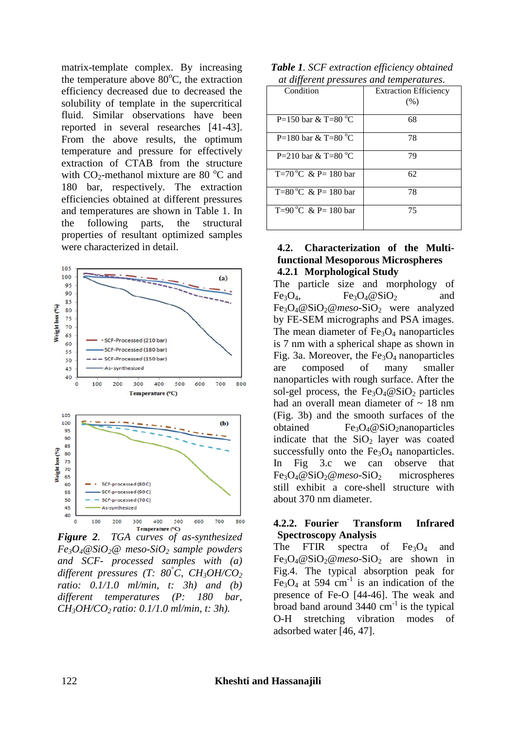matrix-template complex. By increasing the temperature above  $80^{\circ}$ C, the extraction efficiency decreased due to decreased the solubility of template in the supercritical fluid. Similar observations have been reported in several researches [41-43]. From the above results, the optimum temperature and pressure for effectively extraction of CTAB from the structure with  $CO_2$ -methanol mixture are 80  $^{\circ}$ C and 180 bar, respectively. The extraction efficiencies obtained at different pressures and temperatures are shown in Table 1. In the following parts, the structural properties of resultant optimized samples were characterized in detail.



*Figure 2. TGA curves of as-synthesized Fe3O4@SiO2@ meso-SiO<sup>2</sup> sample powders and SCF- processed samples with (a) different pressures (T: 80°C, CH3OH/CO<sup>2</sup> ratio: 0.1/1.0 ml/min, t: 3h) and (b) different temperatures (P: 180 bar, CH3OH/CO2 ratio: 0.1/1.0 ml/min, t: 3h).*

| Table 1. SCF extraction efficiency obtained |
|---------------------------------------------|
| at different pressures and temperatures.    |

| ar aiffer en pressures and remperatures. |                              |  |
|------------------------------------------|------------------------------|--|
| Condition                                | <b>Extraction Efficiency</b> |  |
|                                          | (% )                         |  |
|                                          |                              |  |
| P=150 bar & T=80 $^{\circ}$ C            | 68                           |  |
| P=180 bar & T=80 $^{\circ}$ C            | 78                           |  |
| P=210 bar & T=80 $^{\circ}$ C            | 79                           |  |
| T=70 °C & P= 180 bar                     | 62                           |  |
| T=80 °C & P= 180 bar                     | 78                           |  |
| T=90 °C & P= 180 bar                     | 75                           |  |

#### **4.2. Characterization of the Multifunctional Mesoporous Microspheres 4.2.1 Morphological Study**

The particle size and morphology of  $Fe<sub>3</sub>O<sub>4</sub>$ ,  $Fe<sub>3</sub>O<sub>4</sub> @SiO<sub>2</sub>$  and Fe3O4@SiO2@*meso*-SiO<sup>2</sup> were analyzed by FE-SEM micrographs and PSA images. The mean diameter of  $Fe<sub>3</sub>O<sub>4</sub>$  nanoparticles is 7 nm with a spherical shape as shown in Fig. 3a. Moreover, the  $Fe<sub>3</sub>O<sub>4</sub>$  nanoparticles are composed of many smaller nanoparticles with rough surface. After the sol-gel process, the  $Fe<sub>3</sub>O<sub>4</sub>@SiO<sub>2</sub>$  particles had an overall mean diameter of  $\sim$  18 nm (Fig. 3b) and the smooth surfaces of the obtained  $Fe<sub>3</sub>O<sub>4</sub>@SiO<sub>2</sub>nanoparticles$ indicate that the  $SiO<sub>2</sub>$  layer was coated successfully onto the  $Fe<sub>3</sub>O<sub>4</sub>$  nanoparticles. In Fig 3.c we can observe that Fe<sub>3</sub>O<sub>4</sub>@SiO<sub>2</sub>@meso-SiO<sub>2</sub> microspheres still exhibit a core-shell structure with about 370 nm diameter.

## **4.2.2. Fourier Transform Infrared Spectroscopy Analysis**

The FTIR spectra of  $Fe<sub>3</sub>O<sub>4</sub>$  and Fe3O4@SiO2@*meso*-SiO<sup>2</sup> are shown in Fig.4. The typical absorption peak for Fe<sub>3</sub>O<sub>4</sub> at 594 cm<sup>-1</sup> is an indication of the presence of Fe-O [44-46]. The weak and broad band around  $3440 \text{ cm}^{-1}$  is the typical O-H stretching vibration modes of adsorbed water [46, 47].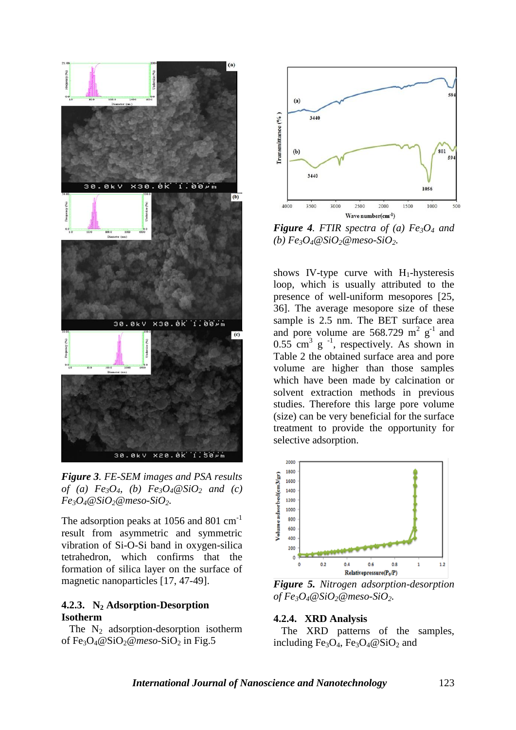

*Figure 3. FE-SEM images and PSA results of* (a)  $Fe_3O_4$ , (b)  $Fe_3O_4@SiO_2$  *and* (c)  $Fe<sub>3</sub>O<sub>4</sub>@SiO<sub>2</sub>@meso-SiO<sub>2</sub>$ .

The adsorption peaks at 1056 and 801 cm<sup>-1</sup> result from asymmetric and symmetric vibration of Si-O-Si band in oxygen-silica tetrahedron, which confirms that the formation of silica layer on the surface of magnetic nanoparticles [17, 47-49].

# **4.2.3. N<sup>2</sup> Adsorption-Desorption Isotherm**

The  $N_2$  adsorption-desorption isotherm of Fe<sub>3</sub>O<sub>4</sub>@SiO<sub>2</sub>@meso-SiO<sub>2</sub> in Fig.5



*Figure 4. FTIR spectra of (a) Fe3O<sup>4</sup> and*   $(b) Fe<sub>3</sub>O<sub>4</sub>@SiO<sub>2</sub>@meso-SiO<sub>2</sub>$ .

shows IV-type curve with  $H_1$ -hysteresis loop, which is usually attributed to the presence of well-uniform mesopores [25, 36]. The average mesopore size of these sample is 2.5 nm. The BET surface area and pore volume are  $568.729 \text{ m}^2 \text{ g}^{-1}$  and  $0.55$  cm<sup>3</sup> g<sup>-1</sup>, respectively. As shown in Table 2 the obtained surface area and pore volume are higher than those samples which have been made by calcination or solvent extraction methods in previous studies. Therefore this large pore volume (size) can be very beneficial for the surface treatment to provide the opportunity for selective adsorption.



*Figure 5. Nitrogen adsorption-desorption*   $of Fe<sub>3</sub>O<sub>4</sub>@SiO<sub>2</sub>@meso-SiO<sub>2</sub>$ .

#### **4.2.4. XRD Analysis**

 The XRD patterns of the samples, including Fe<sub>3</sub>O<sub>4</sub>, Fe<sub>3</sub>O<sub>4</sub>@SiO<sub>2</sub> and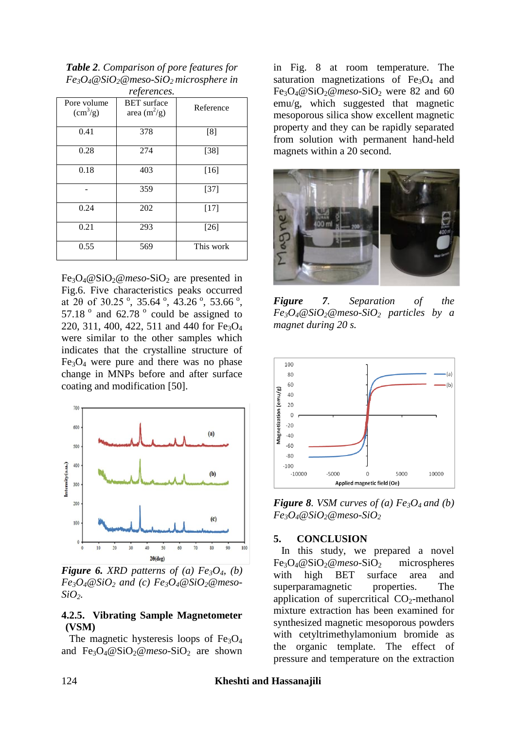*Table 2. Comparison of pore features for Fe3O4@SiO2@meso-SiO2 microsphere in* 

| references.                              |                                      |           |  |  |
|------------------------------------------|--------------------------------------|-----------|--|--|
| Pore volume<br>$\text{ (cm}^3\text{/g)}$ | <b>BET</b> surface<br>area $(m^2/g)$ | Reference |  |  |
| 0.41                                     | 378                                  | [8]       |  |  |
| 0.28                                     | 274                                  | $[38]$    |  |  |
| 0.18                                     | 403                                  | $[16]$    |  |  |
|                                          | 359                                  | $[37]$    |  |  |
| 0.24                                     | 202                                  | $[17]$    |  |  |
| 0.21                                     | 293                                  | $[26]$    |  |  |
| 0.55                                     | 569                                  | This work |  |  |

Fe<sub>3</sub>O<sub>4</sub>@SiO<sub>2</sub>@meso-SiO<sub>2</sub> are presented in Fig.6. Five characteristics peaks occurred at 20 of 30.25 $^{\circ}$ , 35.64 $^{\circ}$ , 43.26 $^{\circ}$ , 53.66 $^{\circ}$ , 57.18 $^{\circ}$  and 62.78 $^{\circ}$  could be assigned to 220, 311, 400, 422, 511 and 440 for  $Fe<sub>3</sub>O<sub>4</sub>$ were similar to the other samples which indicates that the crystalline structure of  $Fe<sub>3</sub>O<sub>4</sub>$  were pure and there was no phase change in MNPs before and after surface coating and modification [50].



*Figure 6. XRD patterns of (a) Fe<sub>3</sub>O<sub>4</sub>, (b)*  $Fe<sub>3</sub>O<sub>4</sub> @ SiO<sub>2</sub> and (c) Fe<sub>3</sub>O<sub>4</sub> @ SiO<sub>2</sub> @ meso-$ *SiO2.*

#### **4.2.5. Vibrating Sample Magnetometer (VSM)**

The magnetic hysteresis loops of  $Fe<sub>3</sub>O<sub>4</sub>$ and Fe<sub>3</sub>O<sub>4</sub>@SiO<sub>2</sub>@meso-SiO<sub>2</sub> are shown

in Fig. 8 at room temperature. The saturation magnetizations of  $Fe<sub>3</sub>O<sub>4</sub>$  and  $Fe<sub>3</sub>O<sub>4</sub>@SiO<sub>2</sub>@meso-SiO<sub>2</sub>$  were 82 and 60 emu/g, which suggested that magnetic mesoporous silica show excellent magnetic property and they can be rapidly separated from solution with permanent hand-held magnets within a 20 second.



*Figure 7. Separation of the*   $Fe<sub>3</sub>O<sub>4</sub> @SiO<sub>2</sub> @meso-SiO<sub>2</sub> particles by a$ *magnet during 20 s.*



*<i>Figure 8. VSM curves of (a) Fe<sub>3</sub>O<sub>4</sub> and (b)*  $Fe<sub>3</sub>O<sub>4</sub>@SiO<sub>2</sub>@meso-SiO<sub>2</sub>$ 

#### **5. CONCLUSION**

 In this study, we prepared a novel Fe3O4@SiO2@*meso*-SiO<sup>2</sup> microspheres with high BET surface area and superparamagnetic properties. The application of supercritical  $CO<sub>2</sub>$ -methanol mixture extraction has been examined for synthesized magnetic mesoporous powders with cetyltrimethylamonium bromide as the organic template. The effect of pressure and temperature on the extraction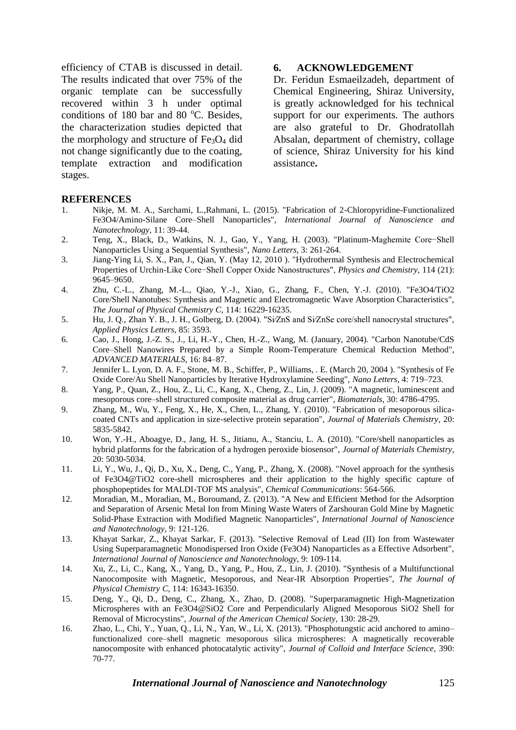efficiency of CTAB is discussed in detail. The results indicated that over 75% of the organic template can be successfully recovered within 3 h under optimal conditions of 180 bar and 80  $^{\circ}$ C. Besides, the characterization studies depicted that the morphology and structure of  $Fe<sub>3</sub>O<sub>4</sub>$  did not change significantly due to the coating, template extraction and modification stages.

#### **6. ACKNOWLEDGEMENT**

Dr. Feridun Esmaeilzadeh, department of Chemical Engineering, Shiraz University, is greatly acknowledged for his technical support for our experiments. The authors are also grateful to Dr. Ghodratollah Absalan, department of chemistry, collage of science, Shiraz University for his kind assistance**.**

#### **REFERENCES**

- 1. Nikje, M. M. A., Sarchami, L.,Rahmani, L. (2015). "Fabrication of 2-Chloropyridine-Functionalized Fe3O4/Amino-Silane Core–Shell Nanoparticles", *International Journal of Nanoscience and Nanotechnology,* 11: 39-44.
- 2. Teng, X., Black, D., Watkins, N. J., Gao, Y., Yang, H. (2003). "Platinum-Maghemite Core−Shell Nanoparticles Using a Sequential Synthesis", *Nano Letters,* 3: 261-264.
- 3. Jiang-Ying Li, S. X., Pan, J., Qian, Y. (May 12, 2010 ). "Hydrothermal Synthesis and Electrochemical Properties of Urchin-Like Core−Shell Copper Oxide Nanostructures", *Physics and Chemistry,* 114 (21): 9645–9650.
- 4. Zhu, C.-L., Zhang, M.-L., Qiao, Y.-J., Xiao, G., Zhang, F., Chen, Y.-J. (2010). "Fe3O4/TiO2 Core/Shell Nanotubes: Synthesis and Magnetic and Electromagnetic Wave Absorption Characteristics", *The Journal of Physical Chemistry C,* 114: 16229-16235.
- 5. Hu, J. Q., Zhan Y. B., J. H., Golberg, D. (2004). "Si∕ZnS and Si∕ZnSe core/shell nanocrystal structures", *Applied Physics Letters,* 85: 3593.
- 6. Cao, J., Hong, J.-Z. S., J., Li, H.-Y., Chen, H.-Z., Wang, M. (January, 2004). "Carbon Nanotube/CdS Core–Shell Nanowires Prepared by a Simple Room-Temperature Chemical Reduction Method", *ADVANCED MATERIALS,* 16: 84–87.
- 7. Jennifer L. Lyon, D. A. F., Stone, M. B., Schiffer, P., Williams, . E. (March 20, 2004 ). "Synthesis of Fe Oxide Core/Au Shell Nanoparticles by Iterative Hydroxylamine Seeding", *Nano Letters,* 4: 719–723.
- 8. Yang, P., Quan, Z., Hou, Z., Li, C., Kang, X., Cheng, Z., Lin, J. (2009). "A magnetic, luminescent and mesoporous core–shell structured composite material as drug carrier", *Biomaterials,* 30: 4786-4795.
- 9. Zhang, M., Wu, Y., Feng, X., He, X., Chen, L., Zhang, Y. (2010). "Fabrication of mesoporous silicacoated CNTs and application in size-selective protein separation", *Journal of Materials Chemistry,* 20: 5835-5842.
- 10. Won, Y.-H., Aboagye, D., Jang, H. S., Jitianu, A., Stanciu, L. A. (2010). "Core/shell nanoparticles as hybrid platforms for the fabrication of a hydrogen peroxide biosensor", *Journal of Materials Chemistry,* 20: 5030-5034.
- 11. Li, Y., Wu, J., Qi, D., Xu, X., Deng, C., Yang, P., Zhang, X. (2008). "Novel approach for the synthesis of Fe3O4@TiO2 core-shell microspheres and their application to the highly specific capture of phosphopeptides for MALDI-TOF MS analysis", *Chemical Communications*: 564-566.
- 12. Moradian, M., Moradian, M., Boroumand, Z. (2013). "A New and Efficient Method for the Adsorption and Separation of Arsenic Metal Ion from Mining Waste Waters of Zarshouran Gold Mine by Magnetic Solid-Phase Extraction with Modified Magnetic Nanoparticles", *International Journal of Nanoscience and Nanotechnology,* 9: 121-126.
- 13. Khayat Sarkar, Z., Khayat Sarkar, F. (2013). "Selective Removal of Lead (II) Ion from Wastewater Using Superparamagnetic Monodispersed Iron Oxide (Fe3O4) Nanoparticles as a Effective Adsorbent", *International Journal of Nanoscience and Nanotechnology,* 9: 109-114.
- 14. Xu, Z., Li, C., Kang, X., Yang, D., Yang, P., Hou, Z., Lin, J. (2010). "Synthesis of a Multifunctional Nanocomposite with Magnetic, Mesoporous, and Near-IR Absorption Properties", *The Journal of Physical Chemistry C,* 114: 16343-16350.
- 15. Deng, Y., Qi, D., Deng, C., Zhang, X., Zhao, D. (2008). "Superparamagnetic High-Magnetization Microspheres with an Fe3O4@SiO2 Core and Perpendicularly Aligned Mesoporous SiO2 Shell for Removal of Microcystins", *Journal of the American Chemical Society,* 130: 28-29.
- 16. Zhao, L., Chi, Y., Yuan, Q., Li, N., Yan, W., Li, X. (2013). "Phosphotungstic acid anchored to amino– functionalized core–shell magnetic mesoporous silica microspheres: A magnetically recoverable nanocomposite with enhanced photocatalytic activity", *Journal of Colloid and Interface Science,* 390: 70-77.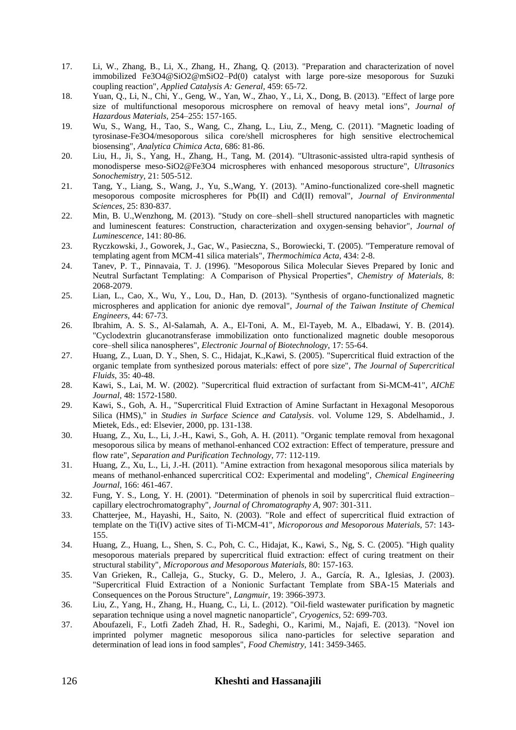- 17. Li, W., Zhang, B., Li, X., Zhang, H., Zhang, Q. (2013). "Preparation and characterization of novel immobilized Fe3O4@SiO2@mSiO2–Pd(0) catalyst with large pore-size mesoporous for Suzuki coupling reaction", *Applied Catalysis A: General,* 459: 65-72.
- 18. Yuan, Q., Li, N., Chi, Y., Geng, W., Yan, W., Zhao, Y., Li, X., Dong, B. (2013). "Effect of large pore size of multifunctional mesoporous microsphere on removal of heavy metal ions", *Journal of Hazardous Materials,* 254–255: 157-165.
- 19. Wu, S., Wang, H., Tao, S., Wang, C., Zhang, L., Liu, Z., Meng, C. (2011). "Magnetic loading of tyrosinase-Fe3O4/mesoporous silica core/shell microspheres for high sensitive electrochemical biosensing", *Analytica Chimica Acta,* 686: 81-86.
- 20. Liu, H., Ji, S., Yang, H., Zhang, H., Tang, M. (2014). "Ultrasonic-assisted ultra-rapid synthesis of monodisperse meso-SiO2@Fe3O4 microspheres with enhanced mesoporous structure", *Ultrasonics Sonochemistry,* 21: 505-512.
- 21. Tang, Y., Liang, S., Wang, J., Yu, S.,Wang, Y. (2013). "Amino-functionalized core-shell magnetic mesoporous composite microspheres for Pb(II) and Cd(II) removal", *Journal of Environmental Sciences,* 25: 830-837.
- 22. Min, B. U.,Wenzhong, M. (2013). "Study on core–shell–shell structured nanoparticles with magnetic and luminescent features: Construction, characterization and oxygen-sensing behavior", *Journal of Luminescence,* 141: 80-86.
- 23. Ryczkowski, J., Goworek, J., Gac, W., Pasieczna, S., Borowiecki, T. (2005). "Temperature removal of templating agent from MCM-41 silica materials", *Thermochimica Acta,* 434: 2-8.
- 24. Tanev, P. T., Pinnavaia, T. J. (1996). "Mesoporous Silica Molecular Sieves Prepared by Ionic and Neutral Surfactant Templating:  A Comparison of Physical Properties", *Chemistry of Materials,* 8: 2068-2079.
- 25. Lian, L., Cao, X., Wu, Y., Lou, D., Han, D. (2013). "Synthesis of organo-functionalized magnetic microspheres and application for anionic dye removal", *Journal of the Taiwan Institute of Chemical Engineers,* 44: 67-73.
- 26. Ibrahim, A. S. S., Al-Salamah, A. A., El-Toni, A. M., El-Tayeb, M. A., Elbadawi, Y. B. (2014). "Cyclodextrin glucanotransferase immobilization onto functionalized magnetic double mesoporous core–shell silica nanospheres", *Electronic Journal of Biotechnology,* 17: 55-64.
- 27. Huang, Z., Luan, D. Y., Shen, S. C., Hidajat, K.,Kawi, S. (2005). "Supercritical fluid extraction of the organic template from synthesized porous materials: effect of pore size", *The Journal of Supercritical Fluids,* 35: 40-48.
- 28. Kawi, S., Lai, M. W. (2002). "Supercritical fluid extraction of surfactant from Si-MCM-41", *AIChE Journal,* 48: 1572-1580.
- 29. Kawi, S., Goh, A. H., "Supercritical Fluid Extraction of Amine Surfactant in Hexagonal Mesoporous Silica (HMS)," in *Studies in Surface Science and Catalysis*. vol. Volume 129, S. Abdelhamid., J. Mietek, Eds., ed: Elsevier, 2000, pp. 131-138.
- 30. Huang, Z., Xu, L., Li, J.-H., Kawi, S., Goh, A. H. (2011). "Organic template removal from hexagonal mesoporous silica by means of methanol-enhanced CO2 extraction: Effect of temperature, pressure and flow rate", *Separation and Purification Technology,* 77: 112-119.
- 31. Huang, Z., Xu, L., Li, J.-H. (2011). "Amine extraction from hexagonal mesoporous silica materials by means of methanol-enhanced supercritical CO2: Experimental and modeling", *Chemical Engineering Journal,* 166: 461-467.
- 32. Fung, Y. S., Long, Y. H. (2001). "Determination of phenols in soil by supercritical fluid extraction– capillary electrochromatography", *Journal of Chromatography A,* 907: 301-311.
- 33. Chatterjee, M., Hayashi, H., Saito, N. (2003). "Role and effect of supercritical fluid extraction of template on the Ti(IV) active sites of Ti-MCM-41", *Microporous and Mesoporous Materials,* 57: 143- 155.
- 34. Huang, Z., Huang, L., Shen, S. C., Poh, C. C., Hidajat, K., Kawi, S., Ng, S. C. (2005). "High quality mesoporous materials prepared by supercritical fluid extraction: effect of curing treatment on their structural stability", *Microporous and Mesoporous Materials,* 80: 157-163.
- 35. Van Grieken, R., Calleja, G., Stucky, G. D., Melero, J. A., García, R. A., Iglesias, J. (2003). "Supercritical Fluid Extraction of a Nonionic Surfactant Template from SBA-15 Materials and Consequences on the Porous Structure", *Langmuir,* 19: 3966-3973.
- 36. Liu, Z., Yang, H., Zhang, H., Huang, C., Li, L. (2012). "Oil-field wastewater purification by magnetic separation technique using a novel magnetic nanoparticle", *Cryogenics,* 52: 699-703.
- 37. Aboufazeli, F., Lotfi Zadeh Zhad, H. R., Sadeghi, O., Karimi, M., Najafi, E. (2013). "Novel ion imprinted polymer magnetic mesoporous silica nano-particles for selective separation and determination of lead ions in food samples", *Food Chemistry,* 141: 3459-3465.